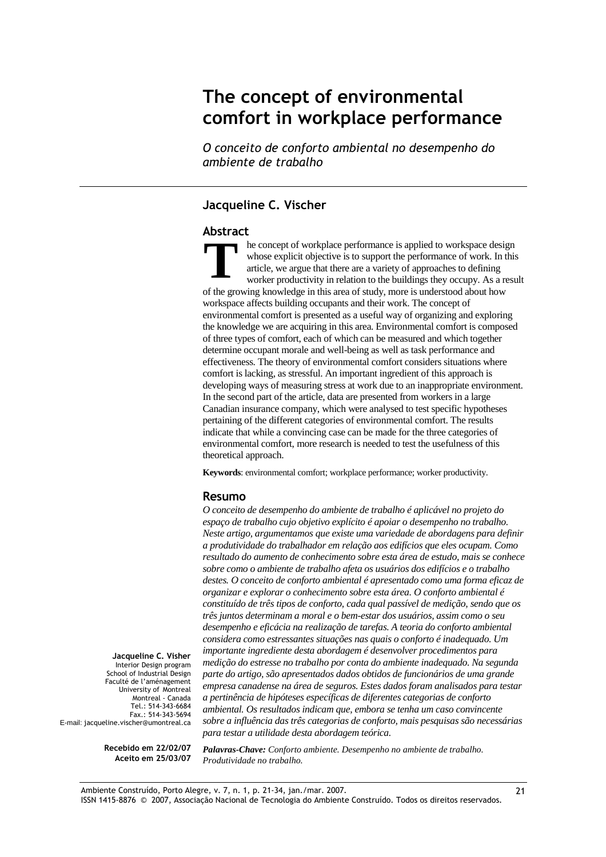# The concept of environmental comfort in workplace performance

O conceito de conforto ambiental no desempenho do ambiente de trabalho

#### Jacqueline C. Vischer

#### Abstract

he concept of workplace performance is applied to workspace design whose explicit objective is to support the performance of work. In this article, we argue that there are a variety of approaches to defining worker productivity in relation to the buildings they occupy. As a result of the growing knowledge in this area of study, more is understood about how workspace affects building occupants and their work. The concept of environmental comfort is presented as a useful way of organizing and exploring the knowledge we are acquiring in this area. Environmental comfort is composed of three types of comfort, each of which can be measured and which together determine occupant morale and well-being as well as task performance and effectiveness. The theory of environmental comfort considers situations where comfort is lacking, as stressful. An important ingredient of this approach is developing ways of measuring stress at work due to an inappropriate environment. In the second part of the article, data are presented from workers in a large Canadian insurance company, which were analysed to test specific hypotheses pertaining of the different categories of environmental comfort. The results indicate that while a convincing case can be made for the three categories of environmental comfort, more research is needed to test the usefulness of this theoretical approach. **T**

**Keywords**: environmental comfort; workplace performance; worker productivity.

#### Resumo

*O conceito de desempenho do ambiente de trabalho é aplicável no projeto do espaço de trabalho cujo objetivo explícito é apoiar o desempenho no trabalho. Neste artigo, argumentamos que existe uma variedade de abordagens para definir a produtividade do trabalhador em relação aos edifícios que eles ocupam. Como resultado do aumento de conhecimento sobre esta área de estudo, mais se conhece sobre como o ambiente de trabalho afeta os usuários dos edifícios e o trabalho destes. O conceito de conforto ambiental é apresentado como uma forma eficaz de organizar e explorar o conhecimento sobre esta área. O conforto ambiental é constituído de três tipos de conforto, cada qual passível de medição, sendo que os três juntos determinam a moral e o bem-estar dos usuários, assim como o seu desempenho e eficácia na realização de tarefas. A teoria do conforto ambiental considera como estressantes situações nas quais o conforto é inadequado. Um importante ingrediente desta abordagem é desenvolver procedimentos para medição do estresse no trabalho por conta do ambiente inadequado. Na segunda parte do artigo, são apresentados dados obtidos de funcionários de uma grande empresa canadense na área de seguros. Estes dados foram analisados para testar a pertinência de hipóteses específicas de diferentes categorias de conforto ambiental. Os resultados indicam que, embora se tenha um caso convincente sobre a influência das três categorias de conforto, mais pesquisas são necessárias para testar a utilidade desta abordagem teórica.* 

Jacqueline C. Visher Interior Design program School of Industrial Design Faculté de l'aménagement University of Montreal Montreal - Canada Tel.: 514-343-6684 Fax.: 514-343-5694 E-mail: jacqueline.vischer@umontreal.ca

> Recebido em 22/02/07 Aceito em 25/03/07

*Palavras-Chave: Conforto ambiente. Desempenho no ambiente de trabalho. Produtividade no trabalho.*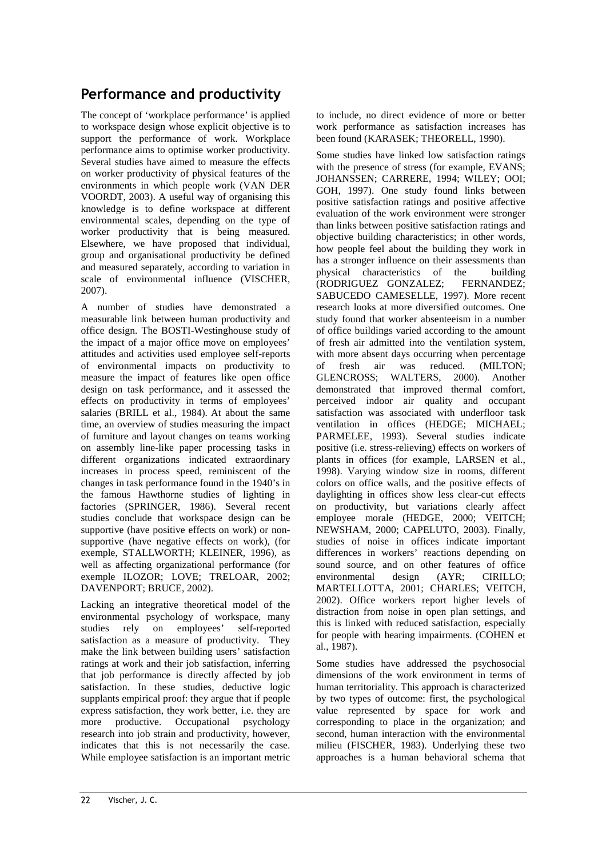# Performance and productivity

The concept of 'workplace performance' is applied to workspace design whose explicit objective is to support the performance of work. Workplace performance aims to optimise worker productivity. Several studies have aimed to measure the effects on worker productivity of physical features of the environments in which people work (VAN DER VOORDT, 2003). A useful way of organising this knowledge is to define workspace at different environmental scales, depending on the type of worker productivity that is being measured. Elsewhere, we have proposed that individual, group and organisational productivity be defined and measured separately, according to variation in scale of environmental influence (VISCHER, 2007).

A number of studies have demonstrated a measurable link between human productivity and office design. The BOSTI-Westinghouse study of the impact of a major office move on employees' attitudes and activities used employee self-reports of environmental impacts on productivity to measure the impact of features like open office design on task performance, and it assessed the effects on productivity in terms of employees' salaries (BRILL et al., 1984). At about the same time, an overview of studies measuring the impact of furniture and layout changes on teams working on assembly line-like paper processing tasks in different organizations indicated extraordinary increases in process speed, reminiscent of the changes in task performance found in the 1940's in the famous Hawthorne studies of lighting in factories (SPRINGER, 1986). Several recent studies conclude that workspace design can be supportive (have positive effects on work) or nonsupportive (have negative effects on work), (for exemple, STALLWORTH; KLEINER, 1996), as well as affecting organizational performance (for exemple ILOZOR; LOVE; TRELOAR, 2002; DAVENPORT; BRUCE, 2002).

Lacking an integrative theoretical model of the environmental psychology of workspace, many studies rely on employees' self-reported satisfaction as a measure of productivity. They make the link between building users' satisfaction ratings at work and their job satisfaction, inferring that job performance is directly affected by job satisfaction. In these studies, deductive logic supplants empirical proof: they argue that if people express satisfaction, they work better, i.e. they are more productive. Occupational psychology research into job strain and productivity, however, indicates that this is not necessarily the case. While employee satisfaction is an important metric

to include, no direct evidence of more or better work performance as satisfaction increases has been found (KARASEK; THEORELL, 1990).

Some studies have linked low satisfaction ratings with the presence of stress (for example, EVANS; JOHANSSEN; CARRERE, 1994; WILEY; OOI; GOH, 1997). One study found links between positive satisfaction ratings and positive affective evaluation of the work environment were stronger than links between positive satisfaction ratings and objective building characteristics; in other words, how people feel about the building they work in has a stronger influence on their assessments than physical characteristics of the building<br>(RODRIGUEZ GONZALEZ: FERNANDEZ: (RODRIGUEZ GONZALEZ; SABUCEDO CAMESELLE, 1997). More recent research looks at more diversified outcomes. One study found that worker absenteeism in a number of office buildings varied according to the amount of fresh air admitted into the ventilation system, with more absent days occurring when percentage of fresh air was reduced. (MILTON; GLENCROSS; WALTERS, 2000). Another demonstrated that improved thermal comfort, perceived indoor air quality and occupant satisfaction was associated with underfloor task ventilation in offices (HEDGE; MICHAEL; PARMELEE, 1993). Several studies indicate positive (i.e. stress-relieving) effects on workers of plants in offices (for example, LARSEN et al., 1998). Varying window size in rooms, different colors on office walls, and the positive effects of daylighting in offices show less clear-cut effects on productivity, but variations clearly affect employee morale (HEDGE, 2000; VEITCH; NEWSHAM, 2000; CAPELUTO, 2003). Finally, studies of noise in offices indicate important differences in workers' reactions depending on sound source, and on other features of office environmental design (AYR; CIRILLO; MARTELLOTTA, 2001; CHARLES; VEITCH, 2002). Office workers report higher levels of distraction from noise in open plan settings, and this is linked with reduced satisfaction, especially for people with hearing impairments. (COHEN et al., 1987).

Some studies have addressed the psychosocial dimensions of the work environment in terms of human territoriality. This approach is characterized by two types of outcome: first, the psychological value represented by space for work and corresponding to place in the organization; and second, human interaction with the environmental milieu (FISCHER, 1983). Underlying these two approaches is a human behavioral schema that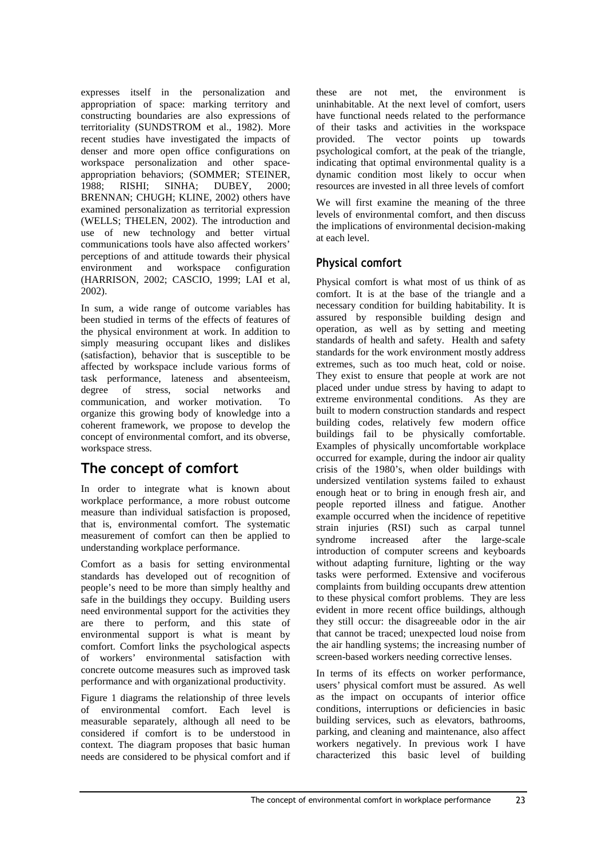expresses itself in the personalization and appropriation of space: marking territory and constructing boundaries are also expressions of territoriality (SUNDSTROM et al., 1982). More recent studies have investigated the impacts of denser and more open office configurations on workspace personalization and other spaceappropriation behaviors; (SOMMER; STEINER, 1988; RISHI; SINHA; DUBEY, 2000; BRENNAN; CHUGH; KLINE, 2002) others have examined personalization as territorial expression (WELLS; THELEN, 2002). The introduction and use of new technology and better virtual communications tools have also affected workers' perceptions of and attitude towards their physical environment and workspace configuration (HARRISON, 2002; CASCIO, 1999; LAI et al, 2002).

In sum, a wide range of outcome variables has been studied in terms of the effects of features of the physical environment at work. In addition to simply measuring occupant likes and dislikes (satisfaction), behavior that is susceptible to be affected by workspace include various forms of task performance, lateness and absenteeism, degree of stress, social networks and communication, and worker motivation. To organize this growing body of knowledge into a coherent framework, we propose to develop the concept of environmental comfort, and its obverse, workspace stress.

# The concept of comfort

In order to integrate what is known about workplace performance, a more robust outcome measure than individual satisfaction is proposed, that is, environmental comfort. The systematic measurement of comfort can then be applied to understanding workplace performance.

Comfort as a basis for setting environmental standards has developed out of recognition of people's need to be more than simply healthy and safe in the buildings they occupy. Building users need environmental support for the activities they are there to perform, and this state of environmental support is what is meant by comfort. Comfort links the psychological aspects of workers' environmental satisfaction with concrete outcome measures such as improved task performance and with organizational productivity.

Figure 1 diagrams the relationship of three levels of environmental comfort. Each level is measurable separately, although all need to be considered if comfort is to be understood in context. The diagram proposes that basic human needs are considered to be physical comfort and if these are not met, the environment is uninhabitable. At the next level of comfort, users have functional needs related to the performance of their tasks and activities in the workspace provided. The vector points up towards psychological comfort, at the peak of the triangle, indicating that optimal environmental quality is a dynamic condition most likely to occur when resources are invested in all three levels of comfort

We will first examine the meaning of the three levels of environmental comfort, and then discuss the implications of environmental decision-making at each level.

# Physical comfort

Physical comfort is what most of us think of as comfort. It is at the base of the triangle and a necessary condition for building habitability. It is assured by responsible building design and operation, as well as by setting and meeting standards of health and safety. Health and safety standards for the work environment mostly address extremes, such as too much heat, cold or noise. They exist to ensure that people at work are not placed under undue stress by having to adapt to extreme environmental conditions. As they are built to modern construction standards and respect building codes, relatively few modern office buildings fail to be physically comfortable. Examples of physically uncomfortable workplace occurred for example, during the indoor air quality crisis of the 1980's, when older buildings with undersized ventilation systems failed to exhaust enough heat or to bring in enough fresh air, and people reported illness and fatigue. Another example occurred when the incidence of repetitive strain injuries (RSI) such as carpal tunnel syndrome increased after the large-scale introduction of computer screens and keyboards without adapting furniture, lighting or the way tasks were performed. Extensive and vociferous complaints from building occupants drew attention to these physical comfort problems. They are less evident in more recent office buildings, although they still occur: the disagreeable odor in the air that cannot be traced; unexpected loud noise from the air handling systems; the increasing number of screen-based workers needing corrective lenses.

In terms of its effects on worker performance, users' physical comfort must be assured. As well as the impact on occupants of interior office conditions, interruptions or deficiencies in basic building services, such as elevators, bathrooms, parking, and cleaning and maintenance, also affect workers negatively. In previous work I have characterized this basic level of building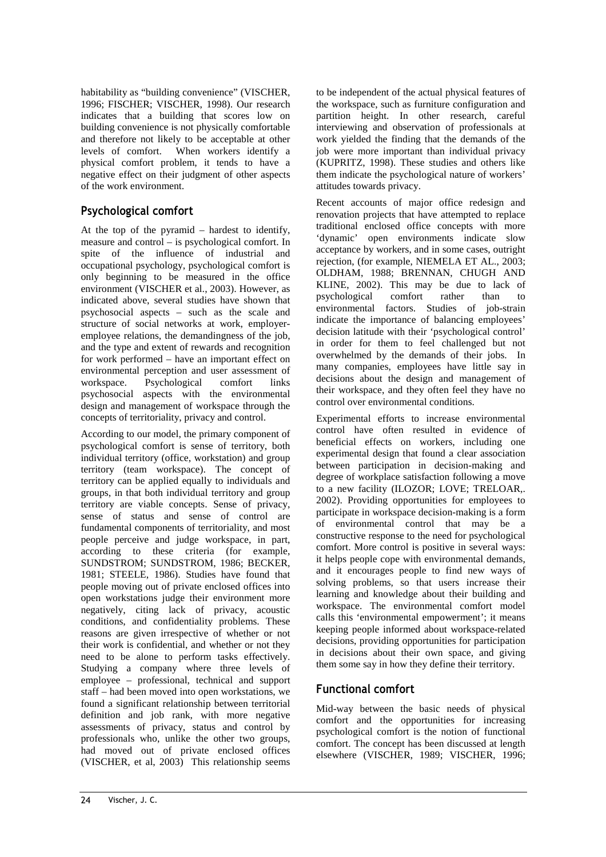habitability as "building convenience" (VISCHER, 1996; FISCHER; VISCHER, 1998). Our research indicates that a building that scores low on building convenience is not physically comfortable and therefore not likely to be acceptable at other levels of comfort. When workers identify a physical comfort problem, it tends to have a negative effect on their judgment of other aspects of the work environment.

## Psychological comfort

At the top of the pyramid – hardest to identify, measure and control – is psychological comfort. In spite of the influence of industrial and occupational psychology, psychological comfort is only beginning to be measured in the office environment (VISCHER et al., 2003). However, as indicated above, several studies have shown that psychosocial aspects – such as the scale and structure of social networks at work, employeremployee relations, the demandingness of the job, and the type and extent of rewards and recognition for work performed – have an important effect on environmental perception and user assessment of workspace. Psychological comfort links psychosocial aspects with the environmental design and management of workspace through the concepts of territoriality, privacy and control.

According to our model, the primary component of psychological comfort is sense of territory, both individual territory (office, workstation) and group territory (team workspace). The concept of territory can be applied equally to individuals and groups, in that both individual territory and group territory are viable concepts. Sense of privacy, sense of status and sense of control are fundamental components of territoriality, and most people perceive and judge workspace, in part, according to these criteria (for example, SUNDSTROM; SUNDSTROM, 1986; BECKER, 1981; STEELE, 1986). Studies have found that people moving out of private enclosed offices into open workstations judge their environment more negatively, citing lack of privacy, acoustic conditions, and confidentiality problems. These reasons are given irrespective of whether or not their work is confidential, and whether or not they need to be alone to perform tasks effectively. Studying a company where three levels of employee – professional, technical and support staff – had been moved into open workstations, we found a significant relationship between territorial definition and job rank, with more negative assessments of privacy, status and control by professionals who, unlike the other two groups, had moved out of private enclosed offices (VISCHER, et al, 2003) This relationship seems

to be independent of the actual physical features of the workspace, such as furniture configuration and partition height. In other research, careful interviewing and observation of professionals at work yielded the finding that the demands of the job were more important than individual privacy (KUPRITZ, 1998). These studies and others like them indicate the psychological nature of workers' attitudes towards privacy.

Recent accounts of major office redesign and renovation projects that have attempted to replace traditional enclosed office concepts with more 'dynamic' open environments indicate slow acceptance by workers, and in some cases, outright rejection, (for example, NIEMELA ET AL., 2003; OLDHAM, 1988; BRENNAN, CHUGH AND KLINE, 2002). This may be due to lack of psychological comfort rather than to environmental factors. Studies of job-strain indicate the importance of balancing employees' decision latitude with their 'psychological control' in order for them to feel challenged but not overwhelmed by the demands of their jobs. In many companies, employees have little say in decisions about the design and management of their workspace, and they often feel they have no control over environmental conditions.

Experimental efforts to increase environmental control have often resulted in evidence of beneficial effects on workers, including one experimental design that found a clear association between participation in decision-making and degree of workplace satisfaction following a move to a new facility (ILOZOR; LOVE; TRELOAR,. 2002). Providing opportunities for employees to participate in workspace decision-making is a form of environmental control that may be a constructive response to the need for psychological comfort. More control is positive in several ways: it helps people cope with environmental demands, and it encourages people to find new ways of solving problems, so that users increase their learning and knowledge about their building and workspace. The environmental comfort model calls this 'environmental empowerment'; it means keeping people informed about workspace-related decisions, providing opportunities for participation in decisions about their own space, and giving them some say in how they define their territory.

## Functional comfort

Mid-way between the basic needs of physical comfort and the opportunities for increasing psychological comfort is the notion of functional comfort. The concept has been discussed at length elsewhere (VISCHER, 1989; VISCHER, 1996;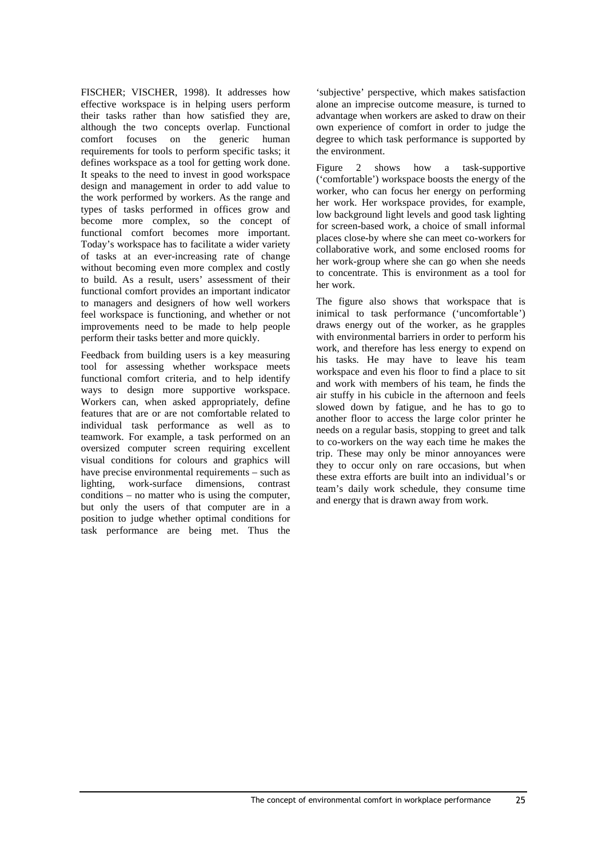FISCHER; VISCHER, 1998). It addresses how effective workspace is in helping users perform their tasks rather than how satisfied they are, although the two concepts overlap. Functional comfort focuses on the generic human requirements for tools to perform specific tasks; it defines workspace as a tool for getting work done. It speaks to the need to invest in good workspace design and management in order to add value to the work performed by workers. As the range and types of tasks performed in offices grow and become more complex, so the concept of functional comfort becomes more important. Today's workspace has to facilitate a wider variety of tasks at an ever-increasing rate of change without becoming even more complex and costly to build. As a result, users' assessment of their functional comfort provides an important indicator to managers and designers of how well workers feel workspace is functioning, and whether or not improvements need to be made to help people perform their tasks better and more quickly.

Feedback from building users is a key measuring tool for assessing whether workspace meets functional comfort criteria, and to help identify ways to design more supportive workspace. Workers can, when asked appropriately, define features that are or are not comfortable related to individual task performance as well as to teamwork. For example, a task performed on an oversized computer screen requiring excellent visual conditions for colours and graphics will have precise environmental requirements – such as lighting, work-surface dimensions, contrast conditions – no matter who is using the computer, but only the users of that computer are in a position to judge whether optimal conditions for task performance are being met. Thus the

'subjective' perspective, which makes satisfaction alone an imprecise outcome measure, is turned to advantage when workers are asked to draw on their own experience of comfort in order to judge the degree to which task performance is supported by the environment.

Figure 2 shows how a task-supportive ('comfortable') workspace boosts the energy of the worker, who can focus her energy on performing her work. Her workspace provides, for example, low background light levels and good task lighting for screen-based work, a choice of small informal places close-by where she can meet co-workers for collaborative work, and some enclosed rooms for her work-group where she can go when she needs to concentrate. This is environment as a tool for her work.

The figure also shows that workspace that is inimical to task performance ('uncomfortable') draws energy out of the worker, as he grapples with environmental barriers in order to perform his work, and therefore has less energy to expend on his tasks. He may have to leave his team workspace and even his floor to find a place to sit and work with members of his team, he finds the air stuffy in his cubicle in the afternoon and feels slowed down by fatigue, and he has to go to another floor to access the large color printer he needs on a regular basis, stopping to greet and talk to co-workers on the way each time he makes the trip. These may only be minor annoyances were they to occur only on rare occasions, but when these extra efforts are built into an individual's or team's daily work schedule, they consume time and energy that is drawn away from work.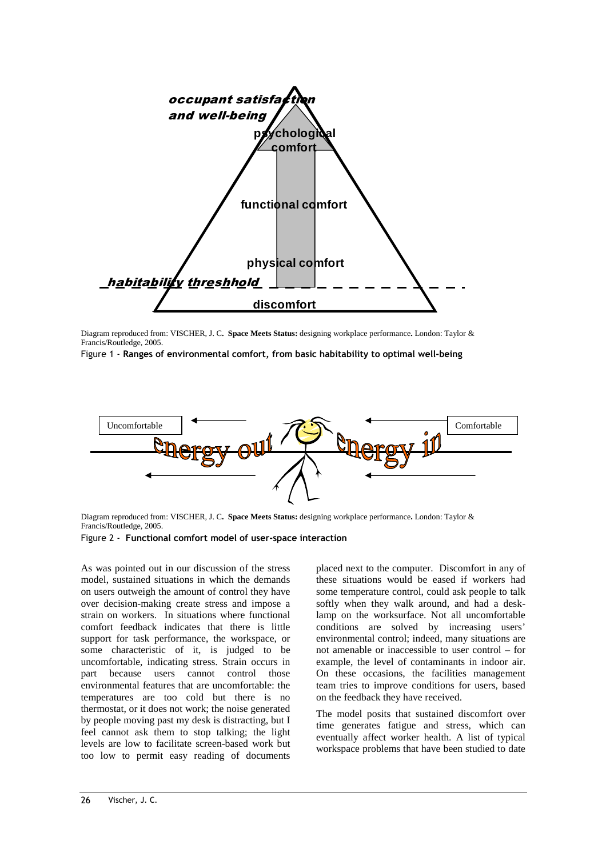

Diagram reproduced from: VISCHER, J. C**. Space Meets Status:** designing workplace performance**.** London: Taylor & Francis/Routledge, 2005.

Figure 1 - Ranges of environmental comfort, from basic habitability to optimal well-being



Diagram reproduced from: VISCHER, J. C**. Space Meets Status:** designing workplace performance**.** London: Taylor & Francis/Routledge, 2005.

Figure 2 - Functional comfort model of user-space interaction

As was pointed out in our discussion of the stress model, sustained situations in which the demands on users outweigh the amount of control they have over decision-making create stress and impose a strain on workers. In situations where functional comfort feedback indicates that there is little support for task performance, the workspace, or some characteristic of it, is judged to be uncomfortable, indicating stress. Strain occurs in part because users cannot control those environmental features that are uncomfortable: the temperatures are too cold but there is no thermostat, or it does not work; the noise generated by people moving past my desk is distracting, but I feel cannot ask them to stop talking; the light levels are low to facilitate screen-based work but too low to permit easy reading of documents

placed next to the computer. Discomfort in any of these situations would be eased if workers had some temperature control, could ask people to talk softly when they walk around, and had a desklamp on the worksurface. Not all uncomfortable conditions are solved by increasing users' environmental control; indeed, many situations are not amenable or inaccessible to user control – for example, the level of contaminants in indoor air. On these occasions, the facilities management team tries to improve conditions for users, based on the feedback they have received.

The model posits that sustained discomfort over time generates fatigue and stress, which can eventually affect worker health. A list of typical workspace problems that have been studied to date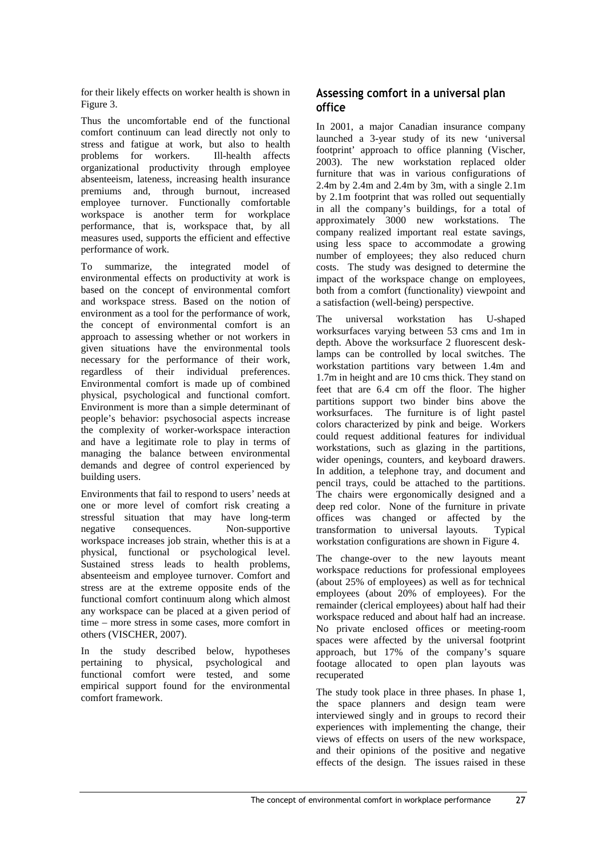for their likely effects on worker health is shown in Figure 3.

Thus the uncomfortable end of the functional comfort continuum can lead directly not only to stress and fatigue at work, but also to health problems for workers. Ill-health affects organizational productivity through employee absenteeism, lateness, increasing health insurance premiums and, through burnout, increased employee turnover. Functionally comfortable workspace is another term for workplace performance, that is, workspace that, by all measures used, supports the efficient and effective performance of work.

To summarize, the integrated model of environmental effects on productivity at work is based on the concept of environmental comfort and workspace stress. Based on the notion of environment as a tool for the performance of work, the concept of environmental comfort is an approach to assessing whether or not workers in given situations have the environmental tools necessary for the performance of their work, regardless of their individual preferences. Environmental comfort is made up of combined physical, psychological and functional comfort. Environment is more than a simple determinant of people's behavior: psychosocial aspects increase the complexity of worker-workspace interaction and have a legitimate role to play in terms of managing the balance between environmental demands and degree of control experienced by building users.

Environments that fail to respond to users' needs at one or more level of comfort risk creating a stressful situation that may have long-term<br>negative consequences. Non-supportive negative consequences. Non-supportive workspace increases job strain, whether this is at a physical, functional or psychological level. Sustained stress leads to health problems, absenteeism and employee turnover. Comfort and stress are at the extreme opposite ends of the functional comfort continuum along which almost any workspace can be placed at a given period of time – more stress in some cases, more comfort in others (VISCHER, 2007).

In the study described below, hypotheses pertaining to physical, psychological and functional comfort were tested, and some empirical support found for the environmental comfort framework.

## Assessing comfort in a universal plan office

In 2001, a major Canadian insurance company launched a 3-year study of its new 'universal footprint' approach to office planning (Vischer, 2003). The new workstation replaced older furniture that was in various configurations of 2.4m by 2.4m and 2.4m by 3m, with a single  $2.1$ m by 2.1m footprint that was rolled out sequentially in all the company's buildings, for a total of approximately 3000 new workstations. The company realized important real estate savings, using less space to accommodate a growing number of employees; they also reduced churn costs. The study was designed to determine the impact of the workspace change on employees, both from a comfort (functionality) viewpoint and a satisfaction (well-being) perspective.

The universal workstation has U-shaped worksurfaces varying between 53 cms and 1m in depth. Above the worksurface 2 fluorescent desklamps can be controlled by local switches. The workstation partitions vary between 1.4m and 1.7m in height and are 10 cms thick. They stand on feet that are 6.4 cm off the floor. The higher partitions support two binder bins above the worksurfaces. The furniture is of light pastel colors characterized by pink and beige. Workers could request additional features for individual workstations, such as glazing in the partitions, wider openings, counters, and keyboard drawers. In addition, a telephone tray, and document and pencil trays, could be attached to the partitions. The chairs were ergonomically designed and a deep red color. None of the furniture in private offices was changed or affected by the transformation to universal layouts. Typical workstation configurations are shown in Figure 4.

The change-over to the new layouts meant workspace reductions for professional employees (about 25% of employees) as well as for technical employees (about 20% of employees). For the remainder (clerical employees) about half had their workspace reduced and about half had an increase. No private enclosed offices or meeting-room spaces were affected by the universal footprint approach, but 17% of the company's square footage allocated to open plan layouts was recuperated

The study took place in three phases. In phase 1, the space planners and design team were interviewed singly and in groups to record their experiences with implementing the change, their views of effects on users of the new workspace, and their opinions of the positive and negative effects of the design. The issues raised in these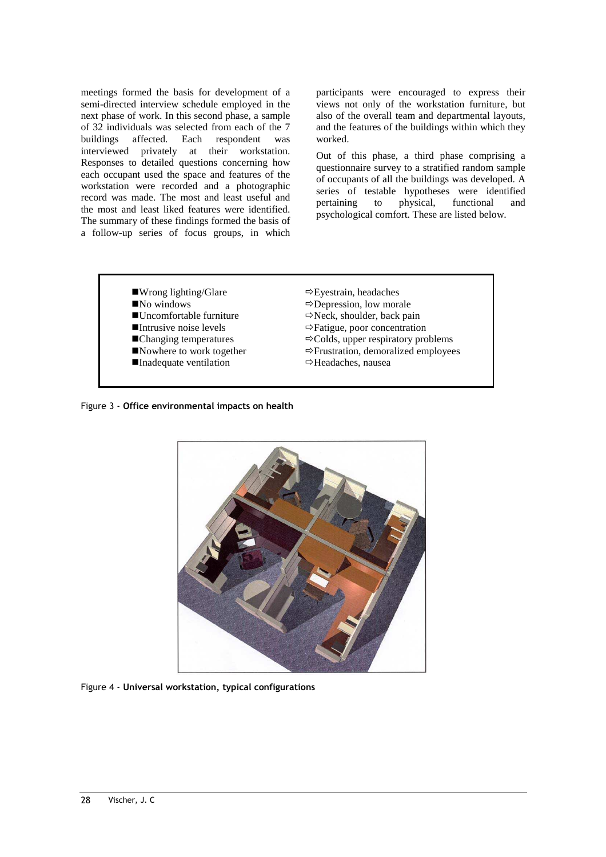meetings formed the basis for development of a semi-directed interview schedule employed in the next phase of work. In this second phase, a sample of 32 individuals was selected from each of the 7 buildings affected. Each respondent was interviewed privately at their workstation. Responses to detailed questions concerning how each occupant used the space and features of the workstation were recorded and a photographic record was made. The most and least useful and the most and least liked features were identified. The summary of these findings formed the basis of a follow-up series of focus groups, in which

participants were encouraged to express their views not only of the workstation furniture, but also of the overall team and departmental layouts, and the features of the buildings within which they worked.

Out of this phase, a third phase comprising a questionnaire survey to a stratified random sample of occupants of all the buildings was developed. A series of testable hypotheses were identified pertaining to physical, functional and psychological comfort. These are listed below.

- ■Wrong lighting/Glare
- ■No windows
- -Uncomfortable furniture
- -Intrusive noise levels
- ■Changing temperatures
- Nowhere to work together
- Inadequate ventilation
- $\Rightarrow$  Eyestrain, headaches
- $\Rightarrow$  Depression, low morale
- $\Rightarrow$  Neck, shoulder, back pain
- Fatigue, poor concentration
- $\Rightarrow$  Colds, upper respiratory problems
- $\Rightarrow$  Frustration, demoralized employees
- Headaches, nausea

Figure 3 - Office environmental impacts on health



Figure 4 - Universal workstation, typical configurations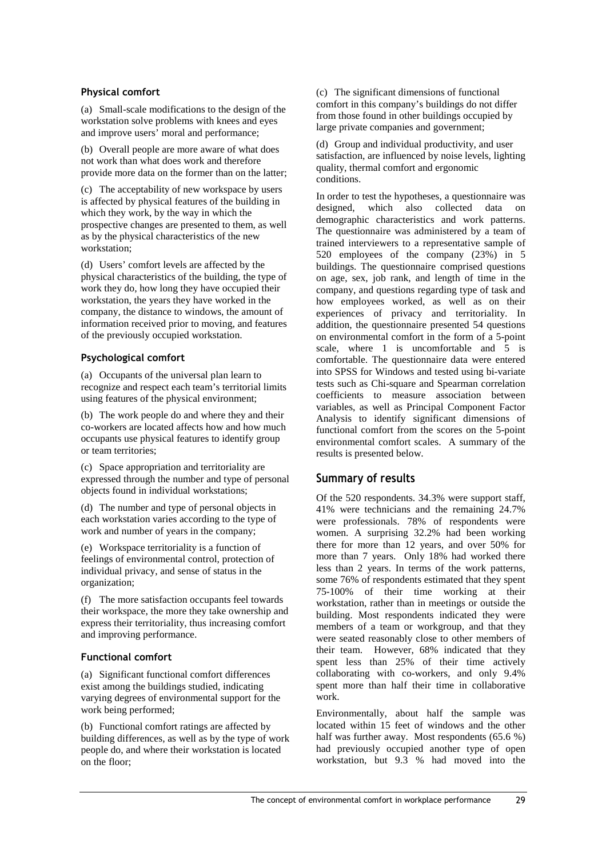#### Physical comfort

(a) Small-scale modifications to the design of the workstation solve problems with knees and eyes and improve users' moral and performance;

(b) Overall people are more aware of what does not work than what does work and therefore provide more data on the former than on the latter;

(c) The acceptability of new workspace by users is affected by physical features of the building in which they work, by the way in which the prospective changes are presented to them, as well as by the physical characteristics of the new workstation;

(d) Users' comfort levels are affected by the physical characteristics of the building, the type of work they do, how long they have occupied their workstation, the years they have worked in the company, the distance to windows, the amount of information received prior to moving, and features of the previously occupied workstation.

### Psychological comfort

(a) Occupants of the universal plan learn to recognize and respect each team's territorial limits using features of the physical environment;

(b) The work people do and where they and their co-workers are located affects how and how much occupants use physical features to identify group or team territories;

(c) Space appropriation and territoriality are expressed through the number and type of personal objects found in individual workstations;

(d) The number and type of personal objects in each workstation varies according to the type of work and number of years in the company;

(e) Workspace territoriality is a function of feelings of environmental control, protection of individual privacy, and sense of status in the organization;

(f) The more satisfaction occupants feel towards their workspace, the more they take ownership and express their territoriality, thus increasing comfort and improving performance.

## Functional comfort

(a) Significant functional comfort differences exist among the buildings studied, indicating varying degrees of environmental support for the work being performed;

(b) Functional comfort ratings are affected by building differences, as well as by the type of work people do, and where their workstation is located on the floor;

(c) The significant dimensions of functional comfort in this company's buildings do not differ from those found in other buildings occupied by large private companies and government;

(d) Group and individual productivity, and user satisfaction, are influenced by noise levels, lighting quality, thermal comfort and ergonomic conditions.

In order to test the hypotheses, a questionnaire was designed, which also collected data on demographic characteristics and work patterns. The questionnaire was administered by a team of trained interviewers to a representative sample of 520 employees of the company (23%) in 5 buildings. The questionnaire comprised questions on age, sex, job rank, and length of time in the company, and questions regarding type of task and how employees worked, as well as on their experiences of privacy and territoriality. In addition, the questionnaire presented 54 questions on environmental comfort in the form of a 5-point scale, where 1 is uncomfortable and 5 is comfortable. The questionnaire data were entered into SPSS for Windows and tested using bi-variate tests such as Chi-square and Spearman correlation coefficients to measure association between variables, as well as Principal Component Factor Analysis to identify significant dimensions of functional comfort from the scores on the 5-point environmental comfort scales. A summary of the results is presented below.

## Summary of results

Of the 520 respondents. 34.3% were support staff, 41% were technicians and the remaining 24.7% were professionals. 78% of respondents were women. A surprising 32.2% had been working there for more than 12 years, and over 50% for more than 7 years. Only 18% had worked there less than 2 years. In terms of the work patterns, some 76% of respondents estimated that they spent 75-100% of their time working at their workstation, rather than in meetings or outside the building. Most respondents indicated they were members of a team or workgroup, and that they were seated reasonably close to other members of their team. However, 68% indicated that they spent less than 25% of their time actively collaborating with co-workers, and only 9.4% spent more than half their time in collaborative work.

Environmentally, about half the sample was located within 15 feet of windows and the other half was further away. Most respondents (65.6 %) had previously occupied another type of open workstation, but 9.3 % had moved into the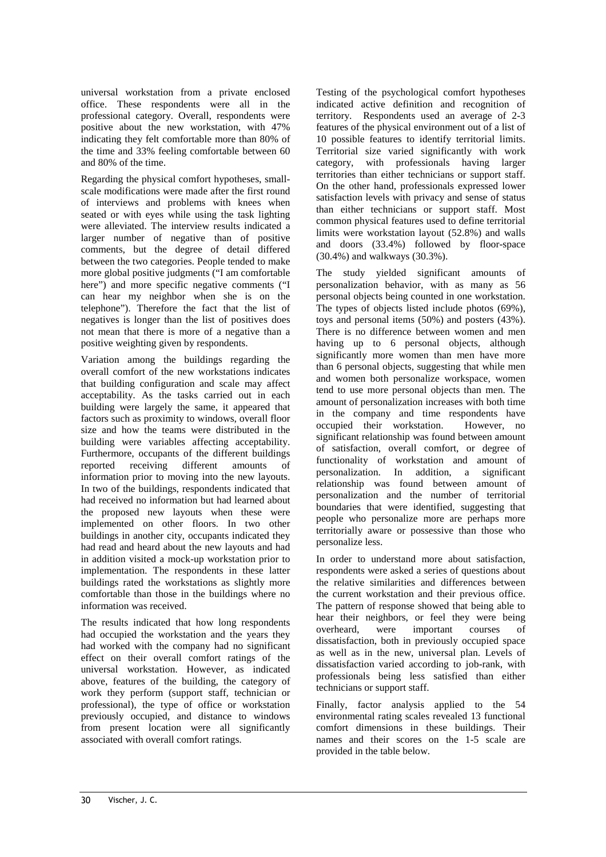universal workstation from a private enclosed office. These respondents were all in the professional category. Overall, respondents were positive about the new workstation, with 47% indicating they felt comfortable more than 80% of the time and 33% feeling comfortable between 60 and 80% of the time.

Regarding the physical comfort hypotheses, smallscale modifications were made after the first round of interviews and problems with knees when seated or with eyes while using the task lighting were alleviated. The interview results indicated a larger number of negative than of positive comments, but the degree of detail differed between the two categories. People tended to make more global positive judgments ("I am comfortable here") and more specific negative comments ("I can hear my neighbor when she is on the telephone"). Therefore the fact that the list of negatives is longer than the list of positives does not mean that there is more of a negative than a positive weighting given by respondents.

Variation among the buildings regarding the overall comfort of the new workstations indicates that building configuration and scale may affect acceptability. As the tasks carried out in each building were largely the same, it appeared that factors such as proximity to windows, overall floor size and how the teams were distributed in the building were variables affecting acceptability. Furthermore, occupants of the different buildings reported receiving different amounts of information prior to moving into the new layouts. In two of the buildings, respondents indicated that had received no information but had learned about the proposed new layouts when these were implemented on other floors. In two other buildings in another city, occupants indicated they had read and heard about the new layouts and had in addition visited a mock-up workstation prior to implementation. The respondents in these latter buildings rated the workstations as slightly more comfortable than those in the buildings where no information was received.

The results indicated that how long respondents had occupied the workstation and the years they had worked with the company had no significant effect on their overall comfort ratings of the universal workstation. However, as indicated above, features of the building, the category of work they perform (support staff, technician or professional), the type of office or workstation previously occupied, and distance to windows from present location were all significantly associated with overall comfort ratings.

Testing of the psychological comfort hypotheses indicated active definition and recognition of territory. Respondents used an average of 2-3 features of the physical environment out of a list of 10 possible features to identify territorial limits. Territorial size varied significantly with work category, with professionals having larger territories than either technicians or support staff. On the other hand, professionals expressed lower satisfaction levels with privacy and sense of status than either technicians or support staff. Most common physical features used to define territorial limits were workstation layout (52.8%) and walls and doors (33.4%) followed by floor-space (30.4%) and walkways (30.3%).

The study yielded significant amounts of personalization behavior, with as many as 56 personal objects being counted in one workstation. The types of objects listed include photos (69%), toys and personal items (50%) and posters (43%). There is no difference between women and men having up to 6 personal objects, although significantly more women than men have more than 6 personal objects, suggesting that while men and women both personalize workspace, women tend to use more personal objects than men. The amount of personalization increases with both time in the company and time respondents have occupied their workstation. However, no significant relationship was found between amount of satisfaction, overall comfort, or degree of functionality of workstation and amount of personalization. In addition, a significant relationship was found between amount of personalization and the number of territorial boundaries that were identified, suggesting that people who personalize more are perhaps more territorially aware or possessive than those who personalize less.

In order to understand more about satisfaction, respondents were asked a series of questions about the relative similarities and differences between the current workstation and their previous office. The pattern of response showed that being able to hear their neighbors, or feel they were being<br>overheard, were important courses of overheard, were important courses of dissatisfaction, both in previously occupied space as well as in the new, universal plan. Levels of dissatisfaction varied according to job-rank, with professionals being less satisfied than either technicians or support staff.

Finally, factor analysis applied to the 54 environmental rating scales revealed 13 functional comfort dimensions in these buildings. Their names and their scores on the 1-5 scale are provided in the table below.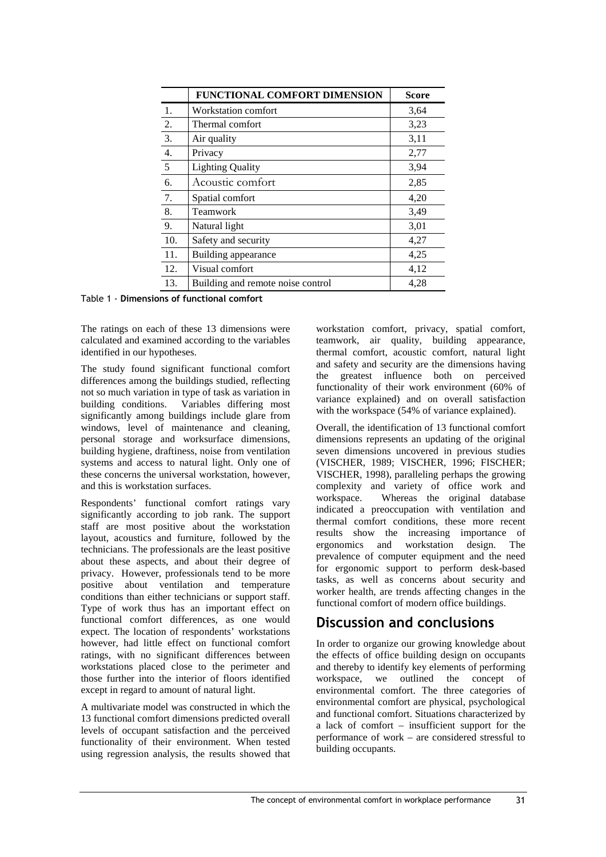|                  | FUNCTIONAL COMFORT DIMENSION      | <b>Score</b> |
|------------------|-----------------------------------|--------------|
| 1.               | Workstation comfort               | 3,64         |
| 2.               | Thermal comfort                   | 3,23         |
| $\overline{3}$ . | Air quality                       | 3,11         |
| $\overline{4}$ . | Privacy                           | 2,77         |
| $\frac{1}{5}$    | <b>Lighting Quality</b>           | 3,94         |
| 6.               | Acoustic comfort                  | 2,85         |
| 7.               | Spatial comfort                   | 4,20         |
| $\overline{8}$ . | Teamwork                          | 3,49         |
| 9.               | Natural light                     | 3,01         |
| 10.              | Safety and security               | 4,27         |
| 11.              | Building appearance               | 4,25         |
| 12.              | Visual comfort                    | 4,12         |
| 13.              | Building and remote noise control | 4,28         |

Table 1 - Dimensions of functional comfort

The ratings on each of these 13 dimensions were calculated and examined according to the variables identified in our hypotheses.

The study found significant functional comfort differences among the buildings studied, reflecting not so much variation in type of task as variation in building conditions. Variables differing most significantly among buildings include glare from windows, level of maintenance and cleaning, personal storage and worksurface dimensions, building hygiene, draftiness, noise from ventilation systems and access to natural light. Only one of these concerns the universal workstation, however, and this is workstation surfaces.

Respondents' functional comfort ratings vary significantly according to job rank. The support staff are most positive about the workstation layout, acoustics and furniture, followed by the technicians. The professionals are the least positive about these aspects, and about their degree of privacy. However, professionals tend to be more positive about ventilation and temperature conditions than either technicians or support staff. Type of work thus has an important effect on functional comfort differences, as one would expect. The location of respondents' workstations however, had little effect on functional comfort ratings, with no significant differences between workstations placed close to the perimeter and those further into the interior of floors identified except in regard to amount of natural light.

A multivariate model was constructed in which the 13 functional comfort dimensions predicted overall levels of occupant satisfaction and the perceived functionality of their environment. When tested using regression analysis, the results showed that workstation comfort, privacy, spatial comfort, teamwork, air quality, building appearance, thermal comfort, acoustic comfort, natural light and safety and security are the dimensions having the greatest influence both on perceived functionality of their work environment (60% of variance explained) and on overall satisfaction with the workspace (54% of variance explained).

Overall, the identification of 13 functional comfort dimensions represents an updating of the original seven dimensions uncovered in previous studies (VISCHER, 1989; VISCHER, 1996; FISCHER; VISCHER, 1998), paralleling perhaps the growing complexity and variety of office work and workspace. Whereas the original database indicated a preoccupation with ventilation and thermal comfort conditions, these more recent results show the increasing importance of ergonomics and workstation design. The prevalence of computer equipment and the need for ergonomic support to perform desk-based tasks, as well as concerns about security and worker health, are trends affecting changes in the functional comfort of modern office buildings.

# Discussion and conclusions

In order to organize our growing knowledge about the effects of office building design on occupants and thereby to identify key elements of performing workspace, we outlined the concept of environmental comfort. The three categories of environmental comfort are physical, psychological and functional comfort. Situations characterized by a lack of comfort – insufficient support for the performance of work – are considered stressful to building occupants.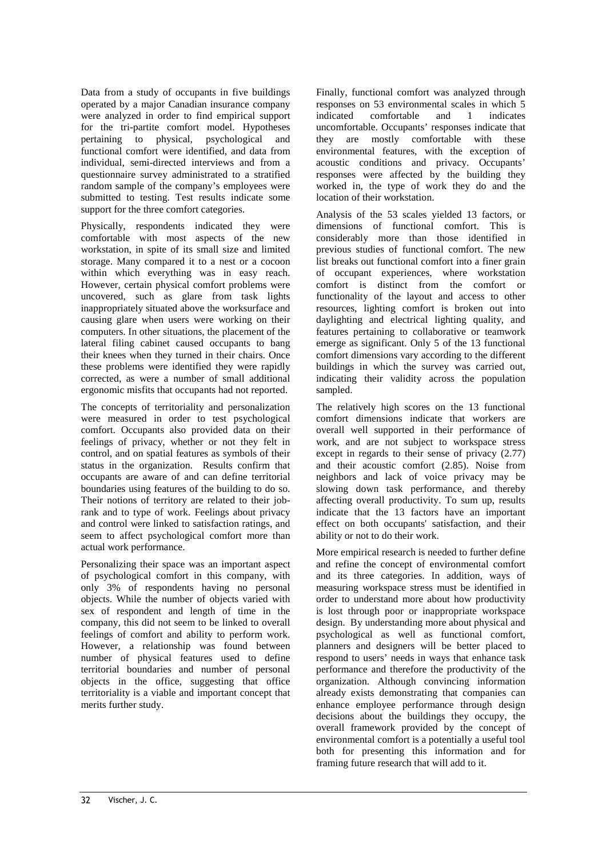Data from a study of occupants in five buildings operated by a major Canadian insurance company were analyzed in order to find empirical support for the tri-partite comfort model. Hypotheses pertaining to physical, psychological and functional comfort were identified, and data from individual, semi-directed interviews and from a questionnaire survey administrated to a stratified random sample of the company's employees were submitted to testing. Test results indicate some support for the three comfort categories.

Physically, respondents indicated they were comfortable with most aspects of the new workstation, in spite of its small size and limited storage. Many compared it to a nest or a cocoon within which everything was in easy reach. However, certain physical comfort problems were uncovered, such as glare from task lights inappropriately situated above the worksurface and causing glare when users were working on their computers. In other situations, the placement of the lateral filing cabinet caused occupants to bang their knees when they turned in their chairs. Once these problems were identified they were rapidly corrected, as were a number of small additional ergonomic misfits that occupants had not reported.

The concepts of territoriality and personalization were measured in order to test psychological comfort. Occupants also provided data on their feelings of privacy, whether or not they felt in control, and on spatial features as symbols of their status in the organization. Results confirm that occupants are aware of and can define territorial boundaries using features of the building to do so. Their notions of territory are related to their jobrank and to type of work. Feelings about privacy and control were linked to satisfaction ratings, and seem to affect psychological comfort more than actual work performance.

Personalizing their space was an important aspect of psychological comfort in this company, with only 3% of respondents having no personal objects. While the number of objects varied with sex of respondent and length of time in the company, this did not seem to be linked to overall feelings of comfort and ability to perform work. However, a relationship was found between number of physical features used to define territorial boundaries and number of personal objects in the office, suggesting that office territoriality is a viable and important concept that merits further study.

Finally, functional comfort was analyzed through responses on 53 environmental scales in which 5 indicated comfortable and 1 indicates uncomfortable. Occupants' responses indicate that they are mostly comfortable with these environmental features, with the exception of acoustic conditions and privacy. Occupants' responses were affected by the building they worked in, the type of work they do and the location of their workstation.

Analysis of the 53 scales yielded 13 factors, or dimensions of functional comfort. This is considerably more than those identified in previous studies of functional comfort. The new list breaks out functional comfort into a finer grain of occupant experiences, where workstation comfort is distinct from the comfort or functionality of the layout and access to other resources, lighting comfort is broken out into daylighting and electrical lighting quality, and features pertaining to collaborative or teamwork emerge as significant. Only 5 of the 13 functional comfort dimensions vary according to the different buildings in which the survey was carried out, indicating their validity across the population sampled.

The relatively high scores on the 13 functional comfort dimensions indicate that workers are overall well supported in their performance of work, and are not subject to workspace stress except in regards to their sense of privacy (2.77) and their acoustic comfort (2.85). Noise from neighbors and lack of voice privacy may be slowing down task performance, and thereby affecting overall productivity. To sum up, results indicate that the 13 factors have an important effect on both occupants' satisfaction, and their ability or not to do their work.

More empirical research is needed to further define and refine the concept of environmental comfort and its three categories. In addition, ways of measuring workspace stress must be identified in order to understand more about how productivity is lost through poor or inappropriate workspace design. By understanding more about physical and psychological as well as functional comfort, planners and designers will be better placed to respond to users' needs in ways that enhance task performance and therefore the productivity of the organization. Although convincing information already exists demonstrating that companies can enhance employee performance through design decisions about the buildings they occupy, the overall framework provided by the concept of environmental comfort is a potentially a useful tool both for presenting this information and for framing future research that will add to it.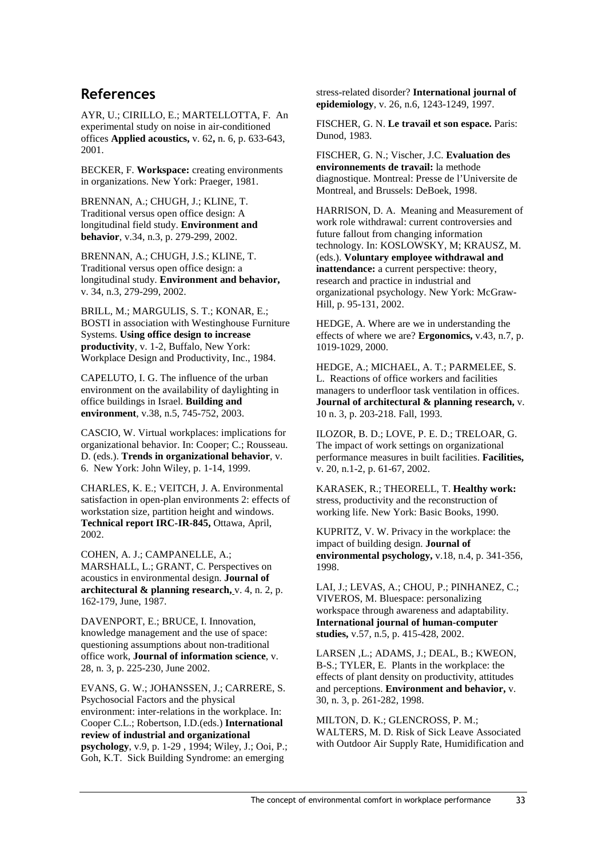# References

AYR, U.; CIRILLO, E.; MARTELLOTTA, F. An experimental study on noise in air-conditioned offices **Applied acoustics,** v. 62**,** n. 6, p. 633-643, 2001.

BECKER, F. **Workspace:** creating environments in organizations. New York: Praeger, 1981.

BRENNAN, A.; CHUGH, J.; KLINE, T. Traditional versus open office design: A longitudinal field study. **Environment and behavior**, v.34, n.3, p. 279-299, 2002.

BRENNAN, A.; CHUGH, J.S.; KLINE, T. Traditional versus open office design: a longitudinal study. **Environment and behavior,** v. 34, n.3, 279-299, 2002.

BRILL, M.; MARGULIS, S. T.; KONAR, E.; BOSTI in association with Westinghouse Furniture Systems. **Using office design to increase productivity**, v. 1-2, Buffalo, New York: Workplace Design and Productivity, Inc., 1984.

CAPELUTO, I. G. The influence of the urban environment on the availability of daylighting in office buildings in Israel. **Building and environment**, v.38, n.5, 745-752, 2003.

CASCIO, W. Virtual workplaces: implications for organizational behavior. In: Cooper; C.; Rousseau. D. (eds.). **Trends in organizational behavior**, v. 6. New York: John Wiley, p. 1-14, 1999.

CHARLES, K. E.; VEITCH, J. A. Environmental satisfaction in open-plan environments 2: effects of workstation size, partition height and windows. **Technical report IRC-IR-845,** Ottawa, April, 2002.

COHEN, A. J.; CAMPANELLE, A.; MARSHALL, L.; GRANT, C. Perspectives on acoustics in environmental design. **Journal of architectural & planning research,** v. 4, n. 2, p. 162-179, June, 1987.

DAVENPORT, E.; BRUCE, I. Innovation, knowledge management and the use of space: questioning assumptions about non-traditional office work, **Journal of information science**, v. 28, n. 3, p. 225-230, June 2002.

EVANS, G. W.; JOHANSSEN, J.; CARRERE, S. Psychosocial Factors and the physical environment: inter-relations in the workplace. In: Cooper C.L.; Robertson, I.D.(eds.) **International review of industrial and organizational psychology**, v.9, p. 1-29 , 1994; Wiley, J.; Ooi, P.; Goh, K.T. Sick Building Syndrome: an emerging

stress-related disorder? **International journal of epidemiology**, v. 26, n.6, 1243-1249, 1997.

FISCHER, G. N. **Le travail et son espace.** Paris: Dunod, 1983.

FISCHER, G. N.; Vischer, J.C. **Evaluation des environnements de travail:** la methode diagnostique. Montreal: Presse de l'Universite de Montreal, and Brussels: DeBoek, 1998.

HARRISON, D. A. Meaning and Measurement of work role withdrawal: current controversies and future fallout from changing information technology. In: KOSLOWSKY, M; KRAUSZ, M. (eds.). **Voluntary employee withdrawal and inattendance:** a current perspective: theory, research and practice in industrial and organizational psychology. New York: McGraw-Hill, p. 95-131, 2002.

HEDGE, A. Where are we in understanding the effects of where we are? **Ergonomics,** v.43, n.7, p. 1019-1029, 2000.

HEDGE, A.; MICHAEL, A. T.; PARMELEE, S. L. Reactions of office workers and facilities managers to underfloor task ventilation in offices. **Journal of architectural & planning research,** v. 10 n. 3, p. 203-218. Fall, 1993.

ILOZOR, B. D.; LOVE, P. E. D.; TRELOAR, G. The impact of work settings on organizational performance measures in built facilities. **Facilities,** v. 20, n.1-2, p. 61-67, 2002.

KARASEK, R.; THEORELL, T. **Healthy work:**  stress, productivity and the reconstruction of working life. New York: Basic Books, 1990.

KUPRITZ, V. W. Privacy in the workplace: the impact of building design. **Journal of environmental psychology,** v.18, n.4, p. 341-356, 1998.

LAI, J.; LEVAS, A.; CHOU, P.; PINHANEZ, C.; VIVEROS, M. Bluespace: personalizing workspace through awareness and adaptability. **International journal of human-computer studies,** v.57, n.5, p. 415-428, 2002.

LARSEN ,L.; ADAMS, J.; DEAL, B.; KWEON, B-S.; TYLER, E. Plants in the workplace: the effects of plant density on productivity, attitudes and perceptions. **Environment and behavior,** v. 30, n. 3, p. 261-282, 1998.

MILTON, D. K.; GLENCROSS, P. M.; WALTERS, M. D. Risk of Sick Leave Associated with Outdoor Air Supply Rate, Humidification and